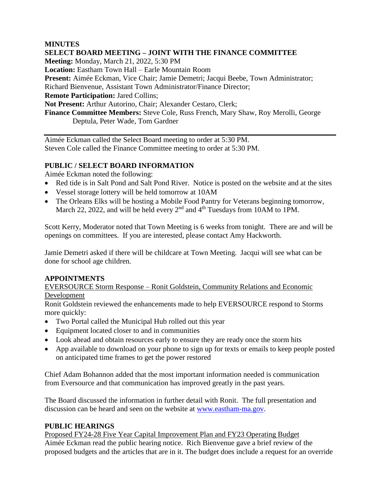### **MINUTES**

**SELECT BOARD MEETING – JOINT WITH THE FINANCE COMMITTEE Meeting:** Monday, March 21, 2022, 5:30 PM **Location:** Eastham Town Hall – Earle Mountain Room **Present:** Aimée Eckman, Vice Chair; Jamie Demetri; Jacqui Beebe, Town Administrator; Richard Bienvenue, Assistant Town Administrator/Finance Director; **Remote Participation:** Jared Collins; **Not Present:** Arthur Autorino, Chair; Alexander Cestaro, Clerk; **Finance Committee Members:** Steve Cole, Russ French, Mary Shaw, Roy Merolli, George Deptula, Peter Wade, Tom Gardner

Aimée Eckman called the Select Board meeting to order at 5:30 PM. Steven Cole called the Finance Committee meeting to order at 5:30 PM.

### **PUBLIC / SELECT BOARD INFORMATION**

Aimée Eckman noted the following:

- Red tide is in Salt Pond and Salt Pond River. Notice is posted on the website and at the sites
- Vessel storage lottery will be held tomorrow at 10AM
- The Orleans Elks will be hosting a Mobile Food Pantry for Veterans beginning tomorrow, March 22, 2022, and will be held every  $2<sup>nd</sup>$  and  $4<sup>th</sup>$  Tuesdays from 10AM to 1PM.

Scott Kerry, Moderator noted that Town Meeting is 6 weeks from tonight. There are and will be openings on committees. If you are interested, please contact Amy Hackworth.

Jamie Demetri asked if there will be childcare at Town Meeting. Jacqui will see what can be done for school age children.

#### **APPOINTMENTS**

EVERSOURCE Storm Response – Ronit Goldstein, Community Relations and Economic Development

Ronit Goldstein reviewed the enhancements made to help EVERSOURCE respond to Storms more quickly:

- Two Portal called the Municipal Hub rolled out this year
- Equipment located closer to and in communities
- Look ahead and obtain resources early to ensure they are ready once the storm hits
- App available to download on your phone to sign up for texts or emails to keep people posted on anticipated time frames to get the power restored

Chief Adam Bohannon added that the most important information needed is communication from Eversource and that communication has improved greatly in the past years.

The Board discussed the information in further detail with Ronit. The full presentation and discussion can be heard and seen on the website at [www.eastham-ma.gov.](http://www.eastham-ma.gov/)

#### **PUBLIC HEARINGS**

Proposed FY24-28 Five Year Capital Improvement Plan and FY23 Operating Budget Aimée Eckman read the public hearing notice. Rich Bienvenue gave a brief review of the proposed budgets and the articles that are in it. The budget does include a request for an override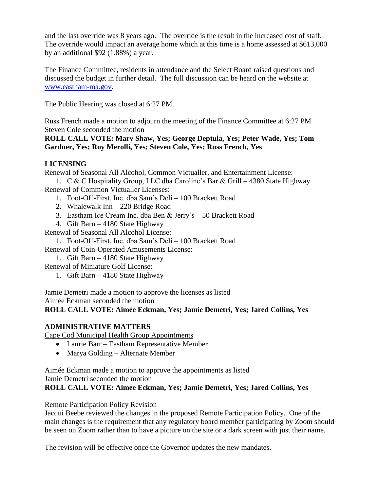and the last override was 8 years ago. The override is the result in the increased cost of staff. The override would impact an average home which at this time is a home assessed at \$613,000 by an additional \$92 (1.88%) a year.

The Finance Committee, residents in attendance and the Select Board raised questions and discussed the budget in further detail. The full discussion can be heard on the website at [www.eastham-ma.gov.](http://www.eastham-ma.gov/)

The Public Hearing was closed at 6:27 PM.

Russ French made a motion to adjourn the meeting of the Finance Committee at 6:27 PM Steven Cole seconded the motion

**ROLL CALL VOTE: Mary Shaw, Yes; George Deptula, Yes; Peter Wade, Yes; Tom Gardner, Yes; Roy Merolli, Yes; Steven Cole, Yes; Russ French, Yes**

### **LICENSING**

Renewal of Seasonal All Alcohol, Common Victualler, and Entertainment License:

1. C & C Hospitality Group, LLC dba Caroline's Bar & Grill – 4380 State Highway Renewal of Common Victualler Licenses:

- 1. Foot-Off-First, Inc. dba Sam's Deli 100 Brackett Road
- 2. Whalewalk Inn 220 Bridge Road
- 3. Eastham Ice Cream Inc. dba Ben & Jerry's 50 Brackett Road
- 4. Gift Barn 4180 State Highway

Renewal of Seasonal All Alcohol License:

1. Foot-Off-First, Inc. dba Sam's Deli – 100 Brackett Road

Renewal of Coin-Operated Amusements License:

1. Gift Barn – 4180 State Highway

Renewal of Miniature Golf License:

1. Gift Barn – 4180 State Highway

Jamie Demetri made a motion to approve the licenses as listed Aimée Eckman seconded the motion

**ROLL CALL VOTE: Aimée Eckman, Yes; Jamie Demetri, Yes; Jared Collins, Yes**

#### **ADMINISTRATIVE MATTERS**

Cape Cod Municipal Health Group Appointments

- Laurie Barr Eastham Representative Member
- Marya Golding Alternate Member

Aimée Eckman made a motion to approve the appointments as listed

Jamie Demetri seconded the motion

**ROLL CALL VOTE: Aimée Eckman, Yes; Jamie Demetri, Yes; Jared Collins, Yes**

Remote Participation Policy Revision

Jacqui Beebe reviewed the changes in the proposed Remote Participation Policy. One of the main changes is the requirement that any regulatory board member participating by Zoom should be seen on Zoom rather than to have a picture on the site or a dark screen with just their name.

The revision will be effective once the Governor updates the new mandates.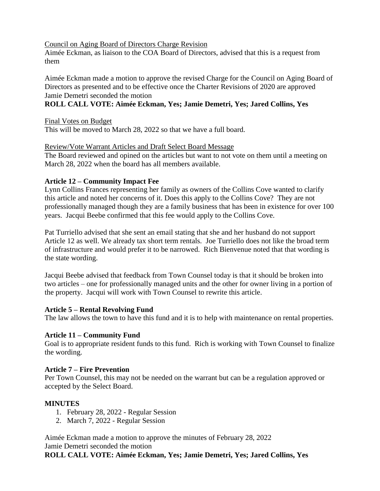Council on Aging Board of Directors Charge Revision

Aimée Eckman, as liaison to the COA Board of Directors, advised that this is a request from them

Aimée Eckman made a motion to approve the revised Charge for the Council on Aging Board of Directors as presented and to be effective once the Charter Revisions of 2020 are approved Jamie Demetri seconded the motion

# **ROLL CALL VOTE: Aimée Eckman, Yes; Jamie Demetri, Yes; Jared Collins, Yes**

Final Votes on Budget This will be moved to March 28, 2022 so that we have a full board.

#### Review/Vote Warrant Articles and Draft Select Board Message

The Board reviewed and opined on the articles but want to not vote on them until a meeting on March 28, 2022 when the board has all members available.

#### **Article 12 – Community Impact Fee**

Lynn Collins Frances representing her family as owners of the Collins Cove wanted to clarify this article and noted her concerns of it. Does this apply to the Collins Cove? They are not professionally managed though they are a family business that has been in existence for over 100 years. Jacqui Beebe confirmed that this fee would apply to the Collins Cove.

Pat Turriello advised that she sent an email stating that she and her husband do not support Article 12 as well. We already tax short term rentals. Joe Turriello does not like the broad term of infrastructure and would prefer it to be narrowed. Rich Bienvenue noted that that wording is the state wording.

Jacqui Beebe advised that feedback from Town Counsel today is that it should be broken into two articles – one for professionally managed units and the other for owner living in a portion of the property. Jacqui will work with Town Counsel to rewrite this article.

#### **Article 5 – Rental Revolving Fund**

The law allows the town to have this fund and it is to help with maintenance on rental properties.

# **Article 11 – Community Fund**

Goal is to appropriate resident funds to this fund. Rich is working with Town Counsel to finalize the wording.

#### **Article 7 – Fire Prevention**

Per Town Counsel, this may not be needed on the warrant but can be a regulation approved or accepted by the Select Board.

# **MINUTES**

- 1. February 28, 2022 Regular Session
- 2. March 7, 2022 Regular Session

Aimée Eckman made a motion to approve the minutes of February 28, 2022 Jamie Demetri seconded the motion **ROLL CALL VOTE: Aimée Eckman, Yes; Jamie Demetri, Yes; Jared Collins, Yes**